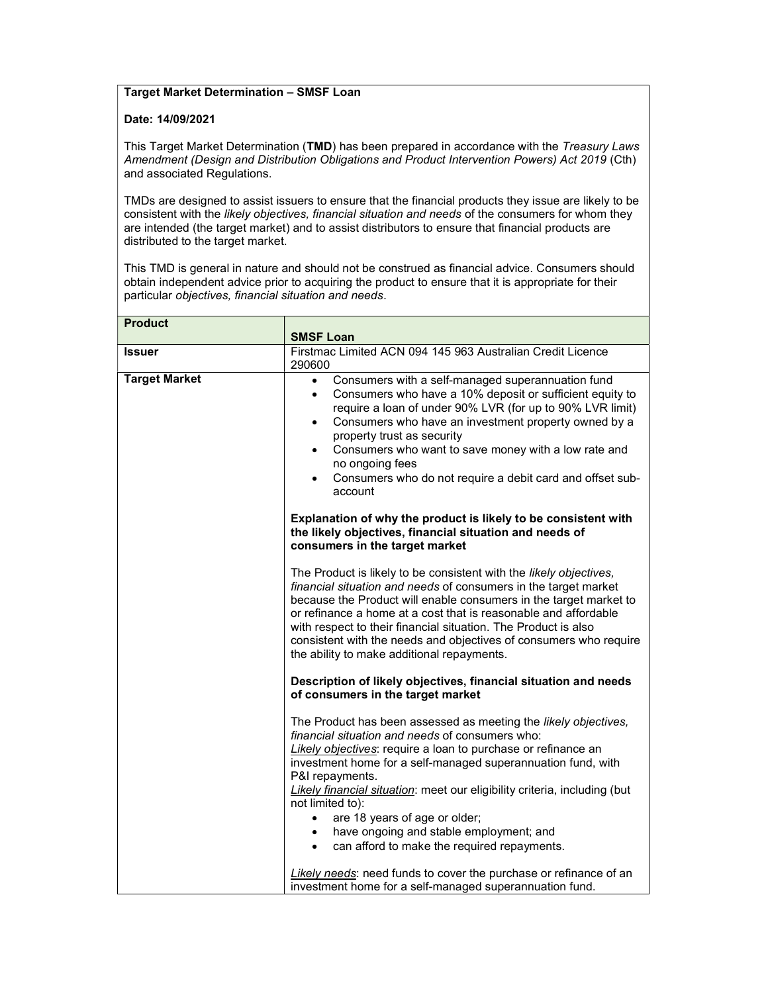## Target Market Determination – SMSF Loan

## Date: 14/09/2021

This Target Market Determination (TMD) has been prepared in accordance with the Treasury Laws Amendment (Design and Distribution Obligations and Product Intervention Powers) Act 2019 (Cth) and associated Regulations.

TMDs are designed to assist issuers to ensure that the financial products they issue are likely to be consistent with the likely objectives, financial situation and needs of the consumers for whom they are intended (the target market) and to assist distributors to ensure that financial products are distributed to the target market.

This TMD is general in nature and should not be construed as financial advice. Consumers should obtain independent advice prior to acquiring the product to ensure that it is appropriate for their particular objectives, financial situation and needs.

| <b>Product</b>       |                                                                                                                                                                                                                                                                                                                                                                                                                                                                                                                              |
|----------------------|------------------------------------------------------------------------------------------------------------------------------------------------------------------------------------------------------------------------------------------------------------------------------------------------------------------------------------------------------------------------------------------------------------------------------------------------------------------------------------------------------------------------------|
|                      | <b>SMSF Loan</b>                                                                                                                                                                                                                                                                                                                                                                                                                                                                                                             |
| <b>Issuer</b>        | Firstmac Limited ACN 094 145 963 Australian Credit Licence<br>290600                                                                                                                                                                                                                                                                                                                                                                                                                                                         |
| <b>Target Market</b> | Consumers with a self-managed superannuation fund<br>$\bullet$<br>Consumers who have a 10% deposit or sufficient equity to<br>$\bullet$<br>require a loan of under 90% LVR (for up to 90% LVR limit)<br>Consumers who have an investment property owned by a<br>$\bullet$<br>property trust as security<br>Consumers who want to save money with a low rate and<br>$\bullet$<br>no ongoing fees<br>Consumers who do not require a debit card and offset sub-<br>account                                                      |
|                      | Explanation of why the product is likely to be consistent with<br>the likely objectives, financial situation and needs of<br>consumers in the target market                                                                                                                                                                                                                                                                                                                                                                  |
|                      | The Product is likely to be consistent with the likely objectives,<br>financial situation and needs of consumers in the target market<br>because the Product will enable consumers in the target market to<br>or refinance a home at a cost that is reasonable and affordable<br>with respect to their financial situation. The Product is also<br>consistent with the needs and objectives of consumers who require<br>the ability to make additional repayments.                                                           |
|                      | Description of likely objectives, financial situation and needs<br>of consumers in the target market                                                                                                                                                                                                                                                                                                                                                                                                                         |
|                      | The Product has been assessed as meeting the likely objectives,<br>financial situation and needs of consumers who:<br>Likely objectives: require a loan to purchase or refinance an<br>investment home for a self-managed superannuation fund, with<br>P&I repayments.<br>Likely financial situation: meet our eligibility criteria, including (but<br>not limited to):<br>are 18 years of age or older;<br>$\bullet$<br>have ongoing and stable employment; and<br>can afford to make the required repayments.<br>$\bullet$ |
|                      | Likely needs: need funds to cover the purchase or refinance of an<br>investment home for a self-managed superannuation fund.                                                                                                                                                                                                                                                                                                                                                                                                 |